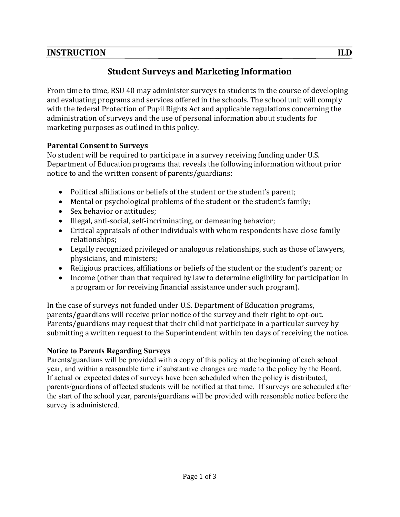## **INSTRUCTION**

# **Student Surveys and Marketing Information**

From time to time, RSU 40 may administer surveys to students in the course of developing and evaluating programs and services offered in the schools. The school unit will comply with the federal Protection of Pupil Rights Act and applicable regulations concerning the administration of surveys and the use of personal information about students for marketing purposes as outlined in this policy.

#### **Parental Consent to Surveys**

No student will be required to participate in a survey receiving funding under U.S. Department of Education programs that reveals the following information without prior notice to and the written consent of parents/guardians:

- Political affiliations or beliefs of the student or the student's parent;
- Mental or psychological problems of the student or the student's family;
- Sex behavior or attitudes:
- Illegal, anti-social, self-incriminating, or demeaning behavior;
- Critical appraisals of other individuals with whom respondents have close family relationships;
- Legally recognized privileged or analogous relationships, such as those of lawyers, physicians, and ministers;
- Religious practices, affiliations or beliefs of the student or the student's parent; or
- Income (other than that required by law to determine eligibility for participation in a program or for receiving financial assistance under such program).

In the case of surveys not funded under U.S. Department of Education programs, parents/guardians will receive prior notice of the survey and their right to opt-out. Parents/guardians may request that their child not participate in a particular survey by submitting a written request to the Superintendent within ten days of receiving the notice.

#### **Notice to Parents Regarding Surveys**

Parents/guardians will be provided with a copy of this policy at the beginning of each school year, and within a reasonable time if substantive changes are made to the policy by the Board. If actual or expected dates of surveys have been scheduled when the policy is distributed, parents/guardians of affected students will be notified at that time. If surveys are scheduled after the start of the school year, parents/guardians will be provided with reasonable notice before the survey is administered.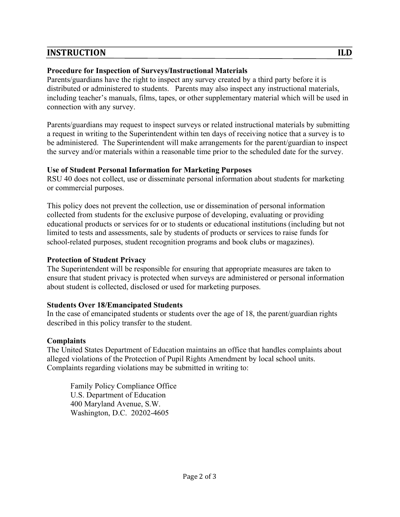## **INSTRUCTION**

#### **Procedure for Inspection of Surveys/Instructional Materials**

Parents/guardians have the right to inspect any survey created by a third party before it is distributed or administered to students. Parents may also inspect any instructional materials, including teacher's manuals, films, tapes, or other supplementary material which will be used in connection with any survey.

Parents/guardians may request to inspect surveys or related instructional materials by submitting a request in writing to the Superintendent within ten days of receiving notice that a survey is to be administered. The Superintendent will make arrangements for the parent/guardian to inspect the survey and/or materials within a reasonable time prior to the scheduled date for the survey.

#### **Use of Student Personal Information for Marketing Purposes**

RSU 40 does not collect, use or disseminate personal information about students for marketing or commercial purposes.

This policy does not prevent the collection, use or dissemination of personal information collected from students for the exclusive purpose of developing, evaluating or providing educational products or services for or to students or educational institutions (including but not limited to tests and assessments, sale by students of products or services to raise funds for school-related purposes, student recognition programs and book clubs or magazines).

#### **Protection of Student Privacy**

The Superintendent will be responsible for ensuring that appropriate measures are taken to ensure that student privacy is protected when surveys are administered or personal information about student is collected, disclosed or used for marketing purposes.

## **Students Over 18/Emancipated Students**

In the case of emancipated students or students over the age of 18, the parent/guardian rights described in this policy transfer to the student.

## **Complaints**

The United States Department of Education maintains an office that handles complaints about alleged violations of the Protection of Pupil Rights Amendment by local school units. Complaints regarding violations may be submitted in writing to:

Family Policy Compliance Office U.S. Department of Education 400 Maryland Avenue, S.W. Washington, D.C. 20202-4605